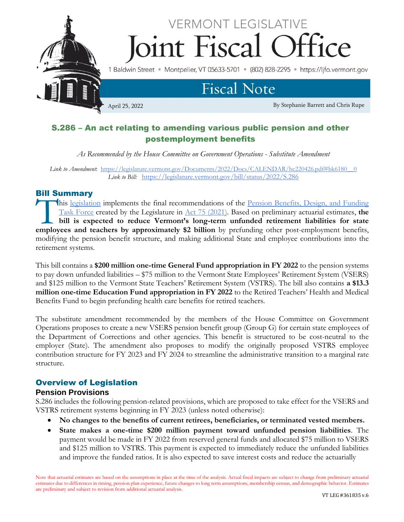

# S.286 – An act relating to amending various public pension and other postemployment benefits

*As Recommended by the House Committee on Government Operations - Substitute Amendment*

*Link to Amendment*: [https://legislature.vermont.gov/Documents/2022/Docs/CALENDAR/hc220426.pdf#bk6180\\_\\_0](https://legislature.vermont.gov/Documents/2022/Docs/CALENDAR/hc220426.pdf#bk6180__0) *Link to Bill:*<https://legislature.vermont.gov/bill/status/2022/S.286>

## Bill Summary

his [legislation](https://legislature.vermont.gov/bill/status/2022/S.286) implements the final recommendations of the Pension Benefits, Design, and Funding [Task Force](https://legislature.vermont.gov/committee/detail/2022/367) created by the Legislature in [Act 75 \(2021\).](https://legislature.vermont.gov/Documents/2022/Docs/ACTS/ACT075/ACT075%20As%20Enacted.pdf) Based on preliminary actuarial estimates, **the bill is expected to reduce Vermont's long-term unfunded retirement liabilities for state**  his legislation implements the final recommendations of the <u>Pension Benefits, Design, and Funding</u><br>Task Force created by the Legislature in <u>Act 75 (2021</u>). Based on preliminary actuarial estimates, the<br>bill is expected t modifying the pension benefit structure, and making additional State and employee contributions into the retirement systems.

This bill contains a **\$200 million one-time General Fund appropriation in FY 2022** to the pension systems to pay down unfunded liabilities – \$75 million to the Vermont State Employees' Retirement System (VSERS) and \$125 million to the Vermont State Teachers' Retirement System (VSTRS). The bill also contains **a \$13.3 million one-time Education Fund appropriation in FY 2022** to the Retired Teachers' Health and Medical Benefits Fund to begin prefunding health care benefits for retired teachers.

The substitute amendment recommended by the members of the House Committee on Government Operations proposes to create a new VSERS pension benefit group (Group G) for certain state employees of the Department of Corrections and other agencies. This benefit is structured to be cost-neutral to the employer (State). The amendment also proposes to modify the originally proposed VSTRS employee contribution structure for FY 2023 and FY 2024 to streamline the administrative transition to a marginal rate structure.

## Overview of Legislation

## **Pension Provisions**

S.286 includes the following pension-related provisions, which are proposed to take effect for the VSERS and VSTRS retirement systems beginning in FY 2023 (unless noted otherwise):

- **No changes to the benefits of current retirees, beneficiaries, or terminated vested members.**
- **State makes a one-time \$200 million payment toward unfunded pension liabilities**. The payment would be made in FY 2022 from reserved general funds and allocated \$75 million to VSERS and \$125 million to VSTRS. This payment is expected to immediately reduce the unfunded liabilities and improve the funded ratios. It is also expected to save interest costs and reduce the actuarially

Note that actuarial estimates are based on the assumptions in place at the time of the analysis. Actual fiscal impacts are subject to change from preliminary actuarial estimates due to differences in timing, pension plan experience, future changes to long term assumptions, membership census, and demographic behavior. Estimates are preliminary and subject to revision from additional actuarial analysis.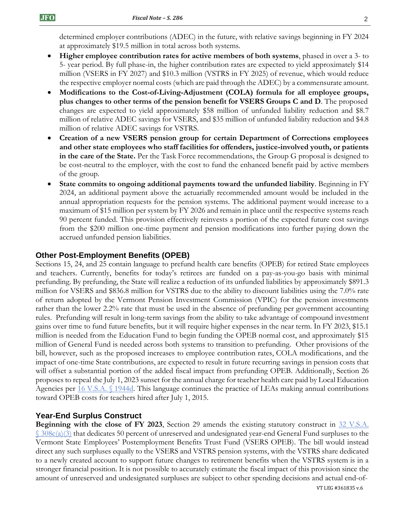determined employer contributions (ADEC) in the future, with relative savings beginning in FY 2024 at approximately \$19.5 million in total across both systems.

- **Higher employee contribution rates for active members of both systems**, phased in over a 3- to 5- year period. By full phase-in, the higher contribution rates are expected to yield approximately \$14 million (VSERS in FY 2027) and \$10.3 million (VSTRS in FY 2025) of revenue, which would reduce the respective employer normal costs (which are paid through the ADEC) by a commensurate amount.
- **Modifications to the Cost-of-Living-Adjustment (COLA) formula for all employee groups, plus changes to other terms of the pension benefit for VSERS Groups C and D**. The proposed changes are expected to yield approximately \$58 million of unfunded liability reduction and \$8.7 million of relative ADEC savings for VSERS, and \$35 million of unfunded liability reduction and \$4.8 million of relative ADEC savings for VSTRS.
- **Creation of a new VSERS pension group for certain Department of Corrections employees and other state employees who staff facilities for offenders, justice-involved youth, or patients in the care of the State.** Per the Task Force recommendations, the Group G proposal is designed to be cost-neutral to the employer, with the cost to fund the enhanced benefit paid by active members of the group.
- **State commits to ongoing additional payments toward the unfunded liability**. Beginning in FY 2024, an additional payment above the actuarially recommended amount would be included in the annual appropriation requests for the pension systems. The additional payment would increase to a maximum of \$15 million per system by FY 2026 and remain in place until the respective systems reach 90 percent funded. This provision effectively reinvests a portion of the expected future cost savings from the \$200 million one-time payment and pension modifications into further paying down the accrued unfunded pension liabilities.

## **Other Post-Employment Benefits (OPEB)**

Sections 15, 24, and 25 contain language to prefund health care benefits (OPEB) for retired State employees and teachers. Currently, benefits for today's retirees are funded on a pay-as-you-go basis with minimal prefunding. By prefunding, the State will realize a reduction of its unfunded liabilities by approximately \$891.3 million for VSERS and \$836.8 million for VSTRS due to the ability to discount liabilities using the 7.0% rate of return adopted by the Vermont Pension Investment Commission (VPIC) for the pension investments rather than the lower 2.2% rate that must be used in the absence of prefunding per government accounting rules. Prefunding will result in long-term savings from the ability to take advantage of compound investment gains over time to fund future benefits, but it will require higher expenses in the near term. In FY 2023, \$15.1 million is needed from the Education Fund to begin funding the OPEB normal cost, and approximately \$15 million of General Fund is needed across both systems to transition to prefunding. Other provisions of the bill, however, such as the proposed increases to employee contribution rates, COLA modifications, and the impact of one-time State contributions, are expected to result in future recurring savings in pension costs that will offset a substantial portion of the added fiscal impact from prefunding OPEB. Additionally, Section 26 proposes to repeal the July 1, 2023 sunset for the annual charge for teacher health care paid by Local Education Agencies per [16 V.S.A. §](https://legislature.vermont.gov/statutes/section/16/055/01944d) 1944d. This language continues the practice of LEAs making annual contributions toward OPEB costs for teachers hired after July 1, 2015.

#### **Year-End Surplus Construct**

**Beginning with the close of FY 2023,** Section 29 amends the existing statutory construct in 32 V.S.A.  $\frac{\S 308c(a)(3)}{3}$  $\frac{\S 308c(a)(3)}{3}$  $\frac{\S 308c(a)(3)}{3}$  that dedicates 50 percent of unreserved and undesignated year-end General Fund surpluses to the Vermont State Employees' Postemployment Benefits Trust Fund (VSERS OPEB). The bill would instead direct any such surpluses equally to the VSERS and VSTRS pension systems, with the VSTRS share dedicated to a newly created account to support future changes to retirement benefits when the VSTRS system is in a stronger financial position. It is not possible to accurately estimate the fiscal impact of this provision since the amount of unreserved and undesignated surpluses are subject to other spending decisions and actual end-of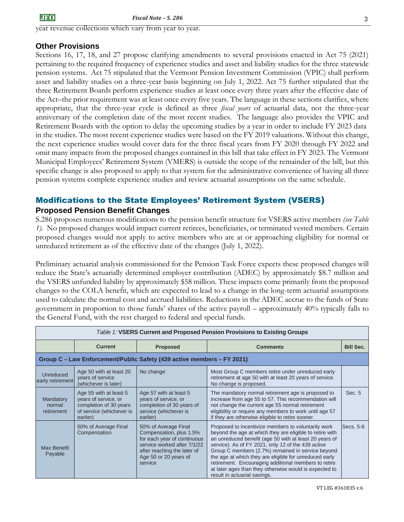year revenue collections which vary from year to year.

## **Other Provisions**

Sections 16, 17, 18, and 27 propose clarifying amendments to several provisions enacted in Act 75 (2021) pertaining to the required frequency of experience studies and asset and liability studies for the three statewide pension systems. Act 75 stipulated that the Vermont Pension Investment Commission (VPIC) shall perform asset and liability studies on a three-year basis beginning on July 1, 2022. Act 75 further stipulated that the three Retirement Boards perform experience studies at least once every three years after the effective date of the Act–the prior requirement was at least once every five years. The language in these sections clarifies, where appropriate, that the three-year cycle is defined as three *fiscal years* of actuarial data, not the three-year anniversary of the completion date of the most recent studies. The language also provides the VPIC and Retirement Boards with the option to delay the upcoming studies by a year in order to include FY 2023 data in the studies. The most recent experience studies were based on the FY 2019 valuations. Without this change, the next experience studies would cover data for the three fiscal years from FY 2020 through FY 2022 and omit many impacts from the proposed changes contained in this bill that take effect in FY 2023. The Vermont Municipal Employees' Retirement System (VMERS) is outside the scope of the remainder of the bill, but this specific change is also proposed to apply to that system for the administrative convenience of having all three pension systems complete experience studies and review actuarial assumptions on the same schedule.

## Modifications to the State Employees' Retirement System (VSERS) **Proposed Pension Benefit Changes**

S.286 proposes numerous modifications to the pension benefit structure for VSERS active members *(see Table 1).* No proposed changes would impact current retirees, beneficiaries, or terminated vested members. Certain proposed changes would not apply to active members who are at or approaching eligibility for normal or unreduced retirement as of the effective date of the changes (July 1, 2022).

Preliminary actuarial analysis commissioned for the Pension Task Force expects these proposed changes will reduce the State's actuarially determined employer contribution (ADEC) by approximately \$8.7 million and the VSERS unfunded liability by approximately \$58 million. These impacts come primarily from the proposed changes to the COLA benefit, which are expected to lead to a change in the long-term actuarial assumptions used to calculate the normal cost and accrued liabilities. Reductions in the ADEC accrue to the funds of State government in proportion to those funds' shares of the active payroll – approximately 40% typically falls to the General Fund, with the rest charged to federal and special funds.

| Table 1: VSERS Current and Proposed Pension Provisions to Existing Groups |                                                                                                                  |                                                                                                                                                                                  |                                                                                                                                                                                                                                                                                                                                                                                                                                                                                                  |                  |  |  |
|---------------------------------------------------------------------------|------------------------------------------------------------------------------------------------------------------|----------------------------------------------------------------------------------------------------------------------------------------------------------------------------------|--------------------------------------------------------------------------------------------------------------------------------------------------------------------------------------------------------------------------------------------------------------------------------------------------------------------------------------------------------------------------------------------------------------------------------------------------------------------------------------------------|------------------|--|--|
|                                                                           | <b>Current</b>                                                                                                   | <b>Proposed</b>                                                                                                                                                                  | <b>Comments</b>                                                                                                                                                                                                                                                                                                                                                                                                                                                                                  | <b>Bill Sec.</b> |  |  |
| Group C - Law Enforcement/Public Safety (439 active members - FY 2021)    |                                                                                                                  |                                                                                                                                                                                  |                                                                                                                                                                                                                                                                                                                                                                                                                                                                                                  |                  |  |  |
| Unreduced<br>early retirement                                             | Age 50 with at least 20<br>years of service<br>(whichever is later)                                              | No change                                                                                                                                                                        | Most Group C members retire under unreduced early<br>retirement at age 50 with at least 20 years of service.<br>No change is proposed.                                                                                                                                                                                                                                                                                                                                                           |                  |  |  |
| Mandatory<br>normal<br>retirement                                         | Age 55 with at least 5<br>years of service, or<br>completion of 30 years<br>of service (whichever is<br>earlier) | Age 57 with at least 5<br>years of service, or<br>completion of 30 years of<br>service (whichever is<br>earlier)                                                                 | The mandatory normal retirement age is proposed to<br>increase from age 55 to 57. This recommendation will<br>not change the current age 55 normal retirement<br>eligibility or require any members to work until age 57<br>if they are otherwise eligible to retire sooner.                                                                                                                                                                                                                     | Sec. 5           |  |  |
| <b>Max Benefit</b><br>Payable                                             | 50% of Average Final<br>Compensation                                                                             | 50% of Average Final<br>Compensation, plus 1.5%<br>for each year of continuous<br>service worked after 7/1/22<br>after reaching the later of<br>Age 50 or 20 years of<br>service | Proposed to incentivize members to voluntarily work<br>beyond the age at which they are eligible to retire with<br>an unreduced benefit (age 50 with at least 20 years of<br>service). As of FY 2021, only 12 of the 439 active<br>Group C members (2.7%) remained in service beyond<br>the age at which they are eligible for unreduced early<br>retirement. Encouraging additional members to retire<br>at later ages than they otherwise would is expected to<br>result in actuarial savings. | Secs. 5-6        |  |  |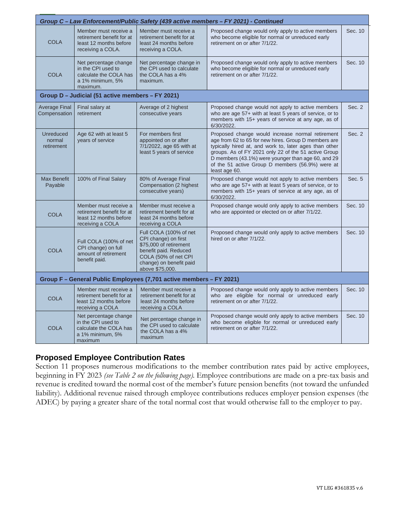| Group C - Law Enforcement/Public Safety (439 active members - FY 2021) - Continued |                                                                                                       |                                                                                                                                                                         |                                                                                                                                                                                                                                                                                                                                                       |         |  |
|------------------------------------------------------------------------------------|-------------------------------------------------------------------------------------------------------|-------------------------------------------------------------------------------------------------------------------------------------------------------------------------|-------------------------------------------------------------------------------------------------------------------------------------------------------------------------------------------------------------------------------------------------------------------------------------------------------------------------------------------------------|---------|--|
| <b>COLA</b>                                                                        | Member must receive a<br>retirement benefit for at<br>least 12 months before<br>receiving a COLA.     | Member must receive a<br>retirement benefit for at<br>least 24 months before<br>receiving a COLA.                                                                       | Proposed change would only apply to active members<br>who become eligible for normal or unreduced early<br>retirement on or after 7/1/22.                                                                                                                                                                                                             | Sec. 10 |  |
| <b>COLA</b>                                                                        | Net percentage change<br>in the CPI used to<br>calculate the COLA has<br>a 1% minimum, 5%<br>maximum. | Net percentage change in<br>the CPI used to calculate<br>the COLA has a 4%<br>maximum.                                                                                  | Proposed change would only apply to active members<br>who become eligible for normal or unreduced early<br>retirement on or after 7/1/22.                                                                                                                                                                                                             |         |  |
| Group D - Judicial (51 active members - FY 2021)                                   |                                                                                                       |                                                                                                                                                                         |                                                                                                                                                                                                                                                                                                                                                       |         |  |
| Average Final<br>Compensation                                                      | Final salary at<br>retirement                                                                         | Average of 2 highest<br>consecutive years                                                                                                                               | Proposed change would not apply to active members<br>who are age 57+ with at least 5 years of service, or to<br>members with 15+ years of service at any age, as of<br>6/30/2022.                                                                                                                                                                     | Sec. 2  |  |
| <b>Unreduced</b><br>normal<br>retirement                                           | Age 62 with at least 5<br>years of service                                                            | For members first<br>appointed on or after<br>7/1/2022, age 65 with at<br>least 5 years of service                                                                      | Proposed change would increase normal retirement<br>age from 62 to 65 for new hires. Group D members are<br>typically hired at, and work to, later ages than other<br>groups. As of FY 2021 only 22 of the 51 active Group<br>D members (43.1%) were younger than age 60, and 29<br>of the 51 active Group D members (56.9%) were at<br>least age 60. | Sec. 2  |  |
| <b>Max Benefit</b><br>Payable                                                      | 100% of Final Salary                                                                                  | 80% of Average Final<br>Compensation (2 highest<br>consecutive years)                                                                                                   | Proposed change would not apply to active members<br>who are age 57+ with at least 5 years of service, or to<br>members with 15+ years of service at any age, as of<br>6/30/2022.                                                                                                                                                                     | Sec. 5  |  |
| <b>COLA</b>                                                                        | Member must receive a<br>retirement benefit for at<br>least 12 months before<br>receiving a COLA      | Member must receive a<br>retirement benefit for at<br>least 24 months before<br>receiving a COLA                                                                        | Proposed change would only apply to active members<br>who are appointed or elected on or after 7/1/22.                                                                                                                                                                                                                                                | Sec. 10 |  |
| <b>COLA</b>                                                                        | Full COLA (100% of net<br>CPI change) on full<br>amount of retirement<br>benefit paid.                | Full COLA (100% of net<br>CPI change) on first<br>\$75,000 of retirement<br>benefit paid. Reduced<br>COLA (50% of net CPI<br>change) on benefit paid<br>above \$75,000. | Proposed change would only apply to active members<br>hired on or after 7/1/22.                                                                                                                                                                                                                                                                       | Sec. 10 |  |
| Group F - General Public Employees (7,701 active members - FY 2021)                |                                                                                                       |                                                                                                                                                                         |                                                                                                                                                                                                                                                                                                                                                       |         |  |
| <b>COLA</b>                                                                        | Member must receive a<br>retirement benefit for at<br>least 12 months before<br>receiving a COLA      | Member must receive a<br>retirement benefit for at<br>least 24 months before<br>receiving a COLA                                                                        | Proposed change would only apply to active members<br>who are eligible for normal or unreduced early<br>retirement on or after 7/1/22.                                                                                                                                                                                                                | Sec. 10 |  |
| <b>COLA</b>                                                                        | Net percentage change<br>in the CPI used to<br>calculate the COLA has<br>a 1% minimum, 5%<br>maximum  | Net percentage change in<br>the CPI used to calculate<br>the COLA has a 4%<br>maximum                                                                                   | Proposed change would only apply to active members<br>who become eligible for normal or unreduced early<br>retirement on or after 7/1/22.                                                                                                                                                                                                             | Sec. 10 |  |

## **Proposed Employee Contribution Rates**

Section 11 proposes numerous modifications to the member contribution rates paid by active employees, beginning in FY 2023 *(see Table 2 on the following page).* Employee contributions are made on a pre-tax basis and revenue is credited toward the normal cost of the member's future pension benefits (not toward the unfunded liability). Additional revenue raised through employee contributions reduces employer pension expenses (the ADEC) by paying a greater share of the total normal cost that would otherwise fall to the employer to pay.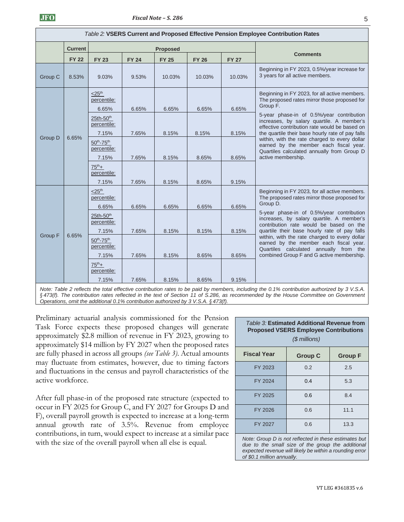|                         | Table 2: VSERS Current and Proposed Effective Pension Employee Contribution Rates |                                                     |              |                 |              |              |                                                                                                                                                                                             |  |
|-------------------------|-----------------------------------------------------------------------------------|-----------------------------------------------------|--------------|-----------------|--------------|--------------|---------------------------------------------------------------------------------------------------------------------------------------------------------------------------------------------|--|
|                         | <b>Current</b>                                                                    |                                                     |              | <b>Proposed</b> |              |              |                                                                                                                                                                                             |  |
|                         | <b>FY 22</b>                                                                      | <b>FY 23</b>                                        | <b>FY 24</b> | <b>FY 25</b>    | <b>FY 26</b> | <b>FY 27</b> | <b>Comments</b>                                                                                                                                                                             |  |
| Group C                 | 8.53%                                                                             | 9.03%                                               | 9.53%        | 10.03%          | 10.03%       | 10.03%       | Beginning in FY 2023, 0.5%/year increase for<br>3 years for all active members.                                                                                                             |  |
|                         |                                                                                   | $<$ 25 <sup>th</sup><br>percentile:<br>6.65%        | 6.65%        | 6.65%           | 6.65%        | 6.65%        | Beginning in FY 2023, for all active members.<br>The proposed rates mirror those proposed for<br>Group F.                                                                                   |  |
| <b>Group D</b><br>6.65% |                                                                                   | 25th-50 <sup>th</sup><br>percentile:<br>7.15%       | 7.65%        | 8.15%           | 8.15%        | 8.15%        | 5-year phase-in of 0.5%/year contribution<br>increases, by salary quartile. A member's<br>effective contribution rate would be based on<br>the quartile their base hourly rate of pay falls |  |
|                         |                                                                                   | $50^{th}$ -75 <sup>th</sup><br>percentile:<br>7.15% | 7.65%        | 8.15%           | 8.65%        | 8.65%        | within, with the rate charged to every dollar<br>earned by the member each fiscal year.<br>Quartiles calculated annually from Group D<br>active membership.                                 |  |
|                         |                                                                                   | $75^{th}+$<br>percentile:<br>7.15%                  | 7.65%        | 8.15%           | 8.65%        | 9.15%        |                                                                                                                                                                                             |  |
|                         |                                                                                   | $<$ 25 <sup>th</sup><br>percentile:<br>6.65%        | 6.65%        | 6.65%           | 6.65%        | 6.65%        | Beginning in FY 2023, for all active members.<br>The proposed rates mirror those proposed for<br>Group D.                                                                                   |  |
| Group F                 | 6.65%                                                                             | $25th-50th$<br>percentile:<br>7.15%                 | 7.65%        | 8.15%           | 8.15%        | 8.15%        | 5-year phase-in of 0.5%/year contribution<br>increases, by salary quartile. A member's<br>contribution rate would be based on the<br>quartile their base hourly rate of pay falls           |  |
|                         |                                                                                   | $50^{th}$ -75 <sup>th</sup><br>percentile:          |              |                 |              |              | within, with the rate charged to every dollar<br>earned by the member each fiscal year.<br>Quartiles calculated annually from the                                                           |  |
|                         |                                                                                   | 7.15%<br>$75^{th}+$<br>percentile:                  | 7.65%        | 8.15%           | 8.65%        | 8.65%        | combined Group F and G active membership.                                                                                                                                                   |  |
|                         |                                                                                   | 7.15%                                               | 7.65%        | 8.15%           | 8.65%        | 9.15%        |                                                                                                                                                                                             |  |

*Note: Table 2 reflects the total effective contribution rates to be paid by members, including the 0.1% contribution authorized by 3 V.S.A. § 473(f). The contribution rates reflected in the text of Section 11 of S.286, as recommended by the House Committee on Government Operations, omit the additional 0.1% contribution authorized by 3 V.S.A. § 473(f).*

Preliminary actuarial analysis commissioned for the Pension Task Force expects these proposed changes will generate approximately \$2.8 million of revenue in FY 2023, growing to approximately \$14 million by FY 2027 when the proposed rates are fully phased in across all groups *(see Table 3)*. Actual amounts may fluctuate from estimates, however, due to timing factors and fluctuations in the census and payroll characteristics of the active workforce.

After full phase-in of the proposed rate structure (expected to occur in FY 2025 for Group C, and FY 2027 for Groups D and F), overall payroll growth is expected to increase at a long-term annual growth rate of 3.5%. Revenue from employee contributions, in turn, would expect to increase at a similar pace with the size of the overall payroll when all else is equal.

| Table 3: Estimated Additional Revenue from<br><b>Proposed VSERS Employee Contributions</b><br>$$$ millions) |     |      |  |  |
|-------------------------------------------------------------------------------------------------------------|-----|------|--|--|
| <b>Fiscal Year</b><br><b>Group C</b><br><b>Group F</b>                                                      |     |      |  |  |
| FY 2023                                                                                                     | 0.2 | 2.5  |  |  |
| FY 2024                                                                                                     | 0.4 | 5.3  |  |  |
| FY 2025                                                                                                     | 0.6 | 8.4  |  |  |
| FY 2026                                                                                                     | 0.6 | 11.1 |  |  |
| FY 2027                                                                                                     | 0.6 | 13.3 |  |  |

*Note: Group D is not reflected in these estimates but due to the small size of the group the additional expected revenue will likely be within a rounding error of \$0.1 million annually.*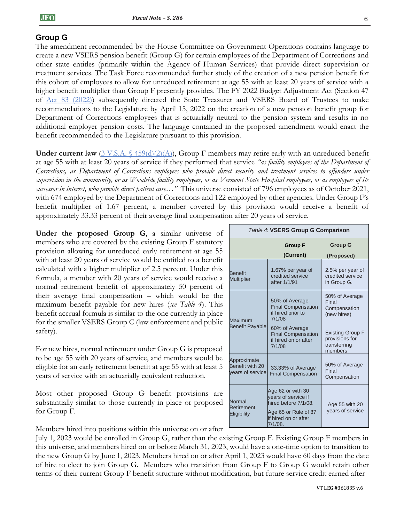## **Group G**

The amendment recommended by the House Committee on Government Operations contains language to create a new VSERS pension benefit (Group G) for certain employees of the Department of Corrections and other state entitles (primarily within the Agency of Human Services) that provide direct supervision or treatment services. The Task Force recommended further study of the creation of a new pension benefit for this cohort of employees to allow for unreduced retirement at age 55 with at least 20 years of service with a higher benefit multiplier than Group F presently provides. The FY 2022 Budget Adjustment Act (Section 47) of [Act 83 \(2022\)\)](https://legislature.vermont.gov/Documents/2022/Docs/ACTS/ACT083/ACT083%20As%20Enacted.pdf) subsequently directed the State Treasurer and VSERS Board of Trustees to make recommendations to the Legislature by April 15, 2022 on the creation of a new pension benefit group for Department of Corrections employees that is actuarially neutral to the pension system and results in no additional employer pension costs. The language contained in the proposed amendment would enact the benefit recommended to the Legislature pursuant to this provision.

**Under current law**  $(3 \text{ V.S.A. } \{459(d)(2)(\text{A})),$  Group F members may retire early with an unreduced benefit at age 55 with at least 20 years of service if they performed that service *"as facility employees of the Department of Corrections, as Department of Corrections employees who provide direct security and treatment services to offenders under supervision in the community, or as Woodside facility employees, or as Vermont State Hospital employees, or as employees of its successor in interest, who provide direct patient care…"* This universe consisted of 796 employees as of October 2021, with 674 employed by the Department of Corrections and 122 employed by other agencies. Under Group F's benefit multiplier of 1.67 percent, a member covered by this provision would receive a benefit of approximately 33.33 percent of their average final compensation after 20 years of service.

**Under the proposed Group G**, a similar universe of members who are covered by the existing Group F statutory provision allowing for unreduced early retirement at age 55 with at least 20 years of service would be entitled to a benefit calculated with a higher multiplier of 2.5 percent. Under this formula, a member with 20 years of service would receive a normal retirement benefit of approximately 50 percent of their average final compensation – which would be the maximum benefit payable for new hires (*see Table 4*). This benefit accrual formula is similar to the one currently in place for the smaller VSERS Group C (law enforcement and public safety).

For new hires, normal retirement under Group G is proposed to be age 55 with 20 years of service, and members would be eligible for an early retirement benefit at age 55 with at least 5 years of service with an actuarially equivalent reduction.

Most other proposed Group G benefit provisions are substantially similar to those currently in place or proposed for Group F.

Members hired into positions within this universe on or after

July 1, 2023 would be enrolled in Group G, rather than the existing Group F. Existing Group F members in this universe, and members hired on or before March 31, 2023, would have a one-time option to transition to the new Group G by June 1, 2023. Members hired on or after April 1, 2023 would have 60 days from the date of hire to elect to join Group G. Members who transition from Group F to Group G would retain other terms of their current Group F benefit structure without modification, but future service credit earned after

|                                                    | Table 4: VSERS Group G Comparison                                                                                              |                                                                      |
|----------------------------------------------------|--------------------------------------------------------------------------------------------------------------------------------|----------------------------------------------------------------------|
|                                                    | <b>Group F</b><br>(Current)                                                                                                    | <b>Group G</b>                                                       |
|                                                    |                                                                                                                                | (Proposed)                                                           |
| <b>Benefit</b><br><b>Multiplier</b>                | 1.67% per year of<br>credited service<br>after 1/1/91                                                                          | 2.5% per year of<br>credited service<br>in Group G.                  |
| Maximum                                            | 50% of Average<br><b>Final Compensation</b><br>if hired prior to<br>7/1/08                                                     | 50% of Average<br>Final<br>Compensation<br>(new hires)               |
| <b>Benefit Payable</b>                             | 60% of Average<br><b>Final Compensation</b><br>if hired on or after<br>7/1/08                                                  | <b>Existing Group F</b><br>provisions for<br>transferring<br>members |
| Approximate<br>Benefit with 20<br>vears of service | 33.33% of Average<br><b>Final Compensation</b>                                                                                 | 50% of Average<br>Final<br>Compensation                              |
| Normal<br>Retirement<br>Eligibility                | Age 62 or with 30<br>vears of service if<br>hired before 7/1/08.<br>Age 65 or Rule of 87<br>if hired on or after<br>$7/1/08$ . | Age 55 with 20<br>years of service                                   |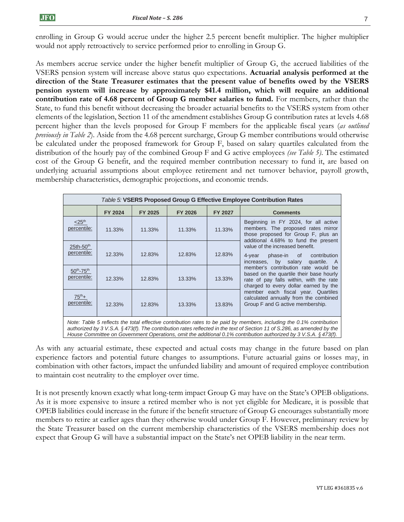enrolling in Group G would accrue under the higher 2.5 percent benefit multiplier. The higher multiplier would not apply retroactively to service performed prior to enrolling in Group G.

As members accrue service under the higher benefit multiplier of Group G, the accrued liabilities of the VSERS pension system will increase above status quo expectations. **Actuarial analysis performed at the direction of the State Treasurer estimates that the present value of benefits owed by the VSERS pension system will increase by approximately \$41.4 million, which will require an additional contribution rate of 4.68 percent of Group G member salaries to fund.** For members, rather than the State, to fund this benefit without decreasing the broader actuarial benefits to the VSERS system from other elements of the legislation, Section 11 of the amendment establishes Group G contribution rates at levels 4.68 percent higher than the levels proposed for Group F members for the applicable fiscal years (*as outlined previously in Table 2*). Aside from the 4.68 percent surcharge, Group G member contributions would otherwise be calculated under the proposed framework for Group F, based on salary quartiles calculated from the distribution of the hourly pay of the combined Group F and G active employees *(see Table 5)*. The estimated cost of the Group G benefit, and the required member contribution necessary to fund it, are based on underlying actuarial assumptions about employee retirement and net turnover behavior, payroll growth, membership characteristics, demographic projections, and economic trends.

| Table 5: VSERS Proposed Group G Effective Employee Contribution Rates                                                                                                                                                                                                                                                                                               |                |         |         |         |                                                                                                                                                                    |  |  |
|---------------------------------------------------------------------------------------------------------------------------------------------------------------------------------------------------------------------------------------------------------------------------------------------------------------------------------------------------------------------|----------------|---------|---------|---------|--------------------------------------------------------------------------------------------------------------------------------------------------------------------|--|--|
|                                                                                                                                                                                                                                                                                                                                                                     | <b>FY 2024</b> | FY 2025 | FY 2026 | FY 2027 | <b>Comments</b>                                                                                                                                                    |  |  |
| $<$ 25 <sup>th</sup><br>percentile:                                                                                                                                                                                                                                                                                                                                 | 11.33%         | 11.33%  | 11.33%  | 11.33%  | Beginning in FY 2024, for all active<br>members. The proposed rates mirror<br>those proposed for Group F, plus an                                                  |  |  |
| $25th-50th$<br>percentile:                                                                                                                                                                                                                                                                                                                                          | 12.33%         | 12.83%  | 12.83%  | 12.83%  | additional 4.68% to fund the present<br>value of the increased benefit.<br>phase-in of<br>contribution<br>$4$ -year<br>increases, by salary<br>quartile. A         |  |  |
| $50^{th}$ -75 <sup>th</sup><br>percentile:                                                                                                                                                                                                                                                                                                                          | 12.33%         | 12.83%  | 13.33%  | 13.33%  | member's contribution rate would be<br>based on the quartile their base hourly<br>rate of pay falls within, with the rate<br>charged to every dollar earned by the |  |  |
| member each fiscal year. Quartiles<br>$75^{th}+$<br>calculated annually from the combined<br>percentile:<br>Group F and G active membership.<br>13.83%<br>12.33%<br>12.83%<br>13.33%                                                                                                                                                                                |                |         |         |         |                                                                                                                                                                    |  |  |
| Note: Table 5 reflects the total effective contribution rates to be paid by members, including the 0.1% contribution<br>authorized by 3 V.S.A. § 473(f). The contribution rates reflected in the text of Section 11 of S.286, as amended by the<br>House Committee on Government Operations, omit the additional 0.1% contribution authorized by 3 V.S.A. § 473(f). |                |         |         |         |                                                                                                                                                                    |  |  |

As with any actuarial estimate, these expected and actual costs may change in the future based on plan experience factors and potential future changes to assumptions. Future actuarial gains or losses may, in combination with other factors, impact the unfunded liability and amount of required employee contribution to maintain cost neutrality to the employer over time.

It is not presently known exactly what long-term impact Group G may have on the State's OPEB obligations. As it is more expensive to insure a retired member who is not yet eligible for Medicare, it is possible that OPEB liabilities could increase in the future if the benefit structure of Group G encourages substantially more members to retire at earlier ages than they otherwise would under Group F. However, preliminary review by the State Treasurer based on the current membership characteristics of the VSERS membership does not expect that Group G will have a substantial impact on the State's net OPEB liability in the near term.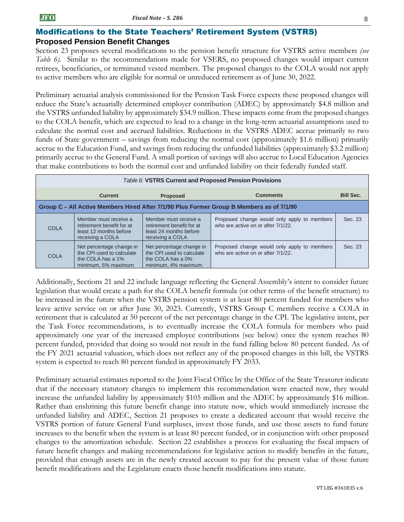### Modifications to the State Teachers' Retirement System (VSTRS) **Proposed Pension Benefit Changes**

Section 23 proposes several modifications to the pension benefit structure for VSTRS active members *(see Table 6).* Similar to the recommendations made for VSERS, no proposed changes would impact current retirees, beneficiaries, or terminated vested members. The proposed changes to the COLA would not apply to active members who are eligible for normal or unreduced retirement as of June 30, 2022.

Preliminary actuarial analysis commissioned for the Pension Task Force expects these proposed changes will reduce the State's actuarially determined employer contribution (ADEC) by approximately \$4.8 million and the VSTRS unfunded liability by approximately \$34.9 million. These impacts come from the proposed changes to the COLA benefit, which are expected to lead to a change in the long-term actuarial assumptions used to calculate the normal cost and accrued liabilities. Reductions in the VSTRS ADEC accrue primarily to two funds of State government – savings from reducing the normal cost (approximately \$1.6 million) primarily accrue to the Education Fund, and savings from reducing the unfunded liabilities (approximately \$3.2 million) primarily accrue to the General Fund. A small portion of savings will also accrue to Local Education Agencies that make contributions to both the normal cost and unfunded liability on their federally funded staff.

|                                                                                          | Table 6: VSTRS Current and Proposed Pension Provisions                                            |                                                                                                    |                                                                                   |                  |  |  |
|------------------------------------------------------------------------------------------|---------------------------------------------------------------------------------------------------|----------------------------------------------------------------------------------------------------|-----------------------------------------------------------------------------------|------------------|--|--|
|                                                                                          | <b>Current</b>                                                                                    | <b>Proposed</b>                                                                                    | <b>Comments</b>                                                                   | <b>Bill Sec.</b> |  |  |
| Group C – All Active Members Hired After 7/1/90 Plus Former Group B Members as of 7/1/90 |                                                                                                   |                                                                                                    |                                                                                   |                  |  |  |
| <b>COLA</b>                                                                              | Member must receive a<br>retirement benefit for at<br>least 12 months before<br>receiving a COLA  | Member must receive a<br>retirement benefit for at<br>least 24 months before<br>receiving a COLA   | Proposed change would only apply to members<br>who are active on or after 7/1/22. | Sec. 23          |  |  |
| <b>COLA</b>                                                                              | Net percentage change in<br>the CPI used to calculate<br>the COLA has a 1%<br>minimum, 5% maximum | Net percentage change in<br>the CPI used to calculate<br>the COLA has a 0%<br>minimum, 4% maximum. | Proposed change would only apply to members<br>who are active on or after 7/1/22. | Sec. 23          |  |  |

Additionally, Sections 21 and 22 include language reflecting the General Assembly's intent to consider future legislation that would create a path for the COLA benefit formula (or other terms of the benefit structure) to be increased in the future when the VSTRS pension system is at least 80 percent funded for members who leave active service on or after June 30, 2023. Currently, VSTRS Group C members receive a COLA in retirement that is calculated at 50 percent of the net percentage change in the CPI. The legislative intent, per the Task Force recommendations, is to eventually increase the COLA formula for members who paid approximately one year of the increased employee contributions (see below) once the system reaches 80 percent funded, provided that doing so would not result in the fund falling below 80 percent funded. As of the FY 2021 actuarial valuation, which does not reflect any of the proposed changes in this bill, the VSTRS system is expected to reach 80 percent funded in approximately FY 2033.

Preliminary actuarial estimates reported to the Joint Fiscal Office by the Office of the State Treasurer indicate that if the necessary statutory changes to implement this recommendation were enacted now, they would increase the unfunded liability by approximately \$105 million and the ADEC by approximately \$16 million. Rather than enshrining this future benefit change into statute now, which would immediately increase the unfunded liability and ADEC, Section 21 proposes to create a dedicated account that would receive the VSTRS portion of future General Fund surpluses, invest those funds, and use those assets to fund future increases to the benefit when the system is at least 80 percent funded, or in conjunction with other proposed changes to the amortization schedule. Section 22 establishes a process for evaluating the fiscal impacts of future benefit changes and making recommendations for legislative action to modify benefits in the future, provided that enough assets are in the newly created account to pay for the present value of those future benefit modifications and the Legislature enacts those benefit modifications into statute.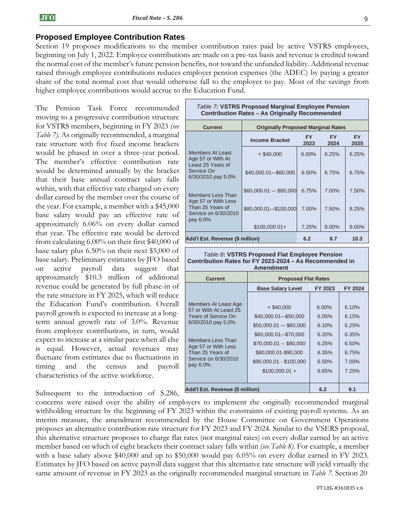#### **Proposed Employee Contribution Rates**

Section 19 proposes modifications to the member contribution rates paid by active VSTRS employees, beginning on July 1, 2022. Employee contributions are made on a pre-tax basis and revenue is credited toward the normal cost of the member's future pension benefits, not toward the unfunded liability. Additional revenue raised through employee contributions reduces employer pension expenses (the ADEC) by paying a greater share of the total normal cost that would otherwise fall to the employer to pay. Most of the savings from higher employee contributions would accrue to the Education Fund.

The Pension Task Force recommended moving to a progressive contribution structure for VSTRS members, beginning in FY 2023 *(see Table 7).* As originally recommended, a marginal rate structure with five fixed income brackets would be phased in over a three-year period. The member's effective contribution rate would be determined annually by the bracket that their base annual contract salary falls within, with that effective rate charged on every dollar earned by the member over the course of the year. For example, a member with a \$45,000 base salary would pay an effective rate of approximately 6.06% on every dollar earned that year. The effective rate would be derived from calculating 6.00% on their first \$40,000 of base salary plus 6.50% on their next \$5,000 of base salary. Preliminary estimates by JFO based on active payroll data suggest that approximately \$10.3 million of additional revenue could be generated by full phase-in of the rate structure in FY 2025, which will reduce the Education Fund's contribution. Overall payroll growth is expected to increase at a longterm annual growth rate of 3.0%. Revenue from employee contributions, in turn, would expect to increase at a similar pace when all else is equal. However, actual revenues may fluctuate from estimates due to fluctuations in timing and the census and payroll characteristics of the active workforce.

Subsequent to the introduction of S.286,

| Table 7: VSTRS Proposed Marginal Employee Pension<br><b>Contribution Rates - As Originally Recommended</b> |                                           |             |                   |                   |
|------------------------------------------------------------------------------------------------------------|-------------------------------------------|-------------|-------------------|-------------------|
| <b>Current</b>                                                                                             | <b>Originally Proposed Marginal Rates</b> |             |                   |                   |
|                                                                                                            | <b>Income Bracket</b>                     | FY.<br>2023 | <b>FY</b><br>2024 | <b>FY</b><br>2025 |
| <b>Members At Least</b><br>Age 57 or With At                                                               | $<$ \$40,000                              | 6.00%       | 6.25%             | 6.25%             |
| Least 25 Years of<br>Service On<br>6/30/2010 pay 5.0%                                                      | \$40,000.01-\$60,000                      | 6.50%       | 6.75%             | 6.75%             |
| Members Less Than                                                                                          | $$60,000.01 - $80,000$                    | 6.75%       | 7.00%             | 7.50%             |
| Age 57 or With Less<br>Than 25 Years of<br>Service on 6/30/2010<br>pay 6.0%.                               | \$80,000.01-\$100,000                     | 7.00%       | 7.50%             | 8.25%             |
|                                                                                                            | $$100,000.01+$                            | 7.25%       | 8.00%             | 9.00%             |
| Add'l Est. Revenue (\$ million)                                                                            |                                           | 6.2         | 8.7               | 10.3              |

*Table 8***: VSTRS Proposed Flat Employee Pension Contribution Rates for FY 2023-2024 – As Recommended in Amendment**

| <b>Current</b>                                                                                                                                                                                          | <b>Proposed Flat Rates</b>                                                                                                                                                              |                                                                         |                                                                         |  |
|---------------------------------------------------------------------------------------------------------------------------------------------------------------------------------------------------------|-----------------------------------------------------------------------------------------------------------------------------------------------------------------------------------------|-------------------------------------------------------------------------|-------------------------------------------------------------------------|--|
|                                                                                                                                                                                                         | <b>Base Salary Level</b>                                                                                                                                                                | FY 2023                                                                 | FY 2024                                                                 |  |
| Members At Least Age<br>57 or With At Least 25<br><b>Years of Service On</b><br>6/30/2010 pay 5.0%<br>Members Less Than<br>Age 57 or With Less<br>Than 25 Years of<br>Service on 6/30/2010<br>pay 6.0%. | $<$ \$40,000<br>\$40,000.01-\$50,000<br>$$50,000.01 - $60,000$<br>\$60,000.01-\$70,000<br>\$70,000.01 -- \$80,000<br>\$80,000.01-\$90,000<br>\$90,000.01 - \$100,000<br>$$100,000.01 +$ | $6.00\%$<br>6.05%<br>6.10%<br>6.20%<br>6.25%<br>6.35%<br>6.50%<br>6.65% | 6.10%<br>6.15%<br>6.25%<br>6.35%<br>6.50%<br>6.75%<br>$7.00\%$<br>7.25% |  |
| Add'l Est. Revenue (\$ million)                                                                                                                                                                         | 6.2                                                                                                                                                                                     | 9.1                                                                     |                                                                         |  |

concerns were raised over the ability of employers to implement the originally recommended marginal withholding structure by the beginning of FY 2023 within the constraints of existing payroll systems. As an interim measure, the amendment recommended by the House Committee on Government Operations proposes an alternative contribution rate structure for FY 2023 and FY 2024. Similar to the VSERS proposal, this alternative structure proposes to charge flat rates (not marginal rates) on every dollar earned by an active member based on which of eight brackets their contract salary falls within *(see Table 8).* For example, a member with a base salary above \$40,000 and up to \$50,000 would pay 6.05% on every dollar earned in FY 2023. Estimates by JFO based on active payroll data suggest that this alternative rate structure will yield virtually the same amount of revenue in FY 2023 as the originally recommended marginal structure in *Table 7.* Section 20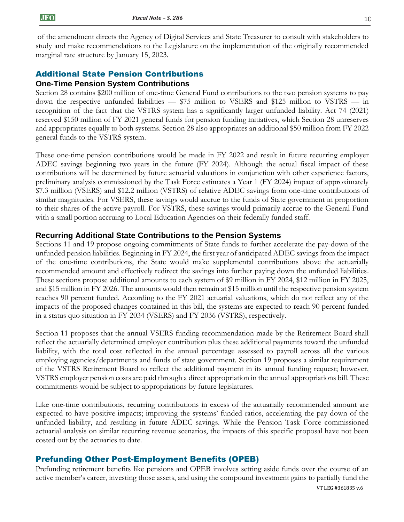of the amendment directs the Agency of Digital Services and State Treasurer to consult with stakeholders to study and make recommendations to the Legislature on the implementation of the originally recommended marginal rate structure by January 15, 2023.

## Additional State Pension Contributions

#### **One-Time Pension System Contributions**

Section 28 contains \$200 million of one-time General Fund contributions to the two pension systems to pay down the respective unfunded liabilities — \$75 million to VSERS and \$125 million to VSTRS — in recognition of the fact that the VSTRS system has a significantly larger unfunded liability. Act 74 (2021) reserved \$150 million of FY 2021 general funds for pension funding initiatives, which Section 28 unreserves and appropriates equally to both systems. Section 28 also appropriates an additional \$50 million from FY 2022 general funds to the VSTRS system.

These one-time pension contributions would be made in FY 2022 and result in future recurring employer ADEC savings beginning two years in the future (FY 2024). Although the actual fiscal impact of these contributions will be determined by future actuarial valuations in conjunction with other experience factors, preliminary analysis commissioned by the Task Force estimates a Year 1 (FY 2024) impact of approximately \$7.3 million (VSERS) and \$12.2 million (VSTRS) of relative ADEC savings from one-time contributions of similar magnitudes. For VSERS, these savings would accrue to the funds of State government in proportion to their shares of the active payroll. For VSTRS, these savings would primarily accrue to the General Fund with a small portion accruing to Local Education Agencies on their federally funded staff.

### **Recurring Additional State Contributions to the Pension Systems**

Sections 11 and 19 propose ongoing commitments of State funds to further accelerate the pay-down of the unfunded pension liabilities. Beginning in FY 2024, the first year of anticipated ADEC savings from the impact of the one-time contributions, the State would make supplemental contributions above the actuarially recommended amount and effectively redirect the savings into further paying down the unfunded liabilities. These sections propose additional amounts to each system of \$9 million in FY 2024, \$12 million in FY 2025, and \$15 million in FY 2026. The amounts would then remain at \$15 million until the respective pension system reaches 90 percent funded. According to the FY 2021 actuarial valuations, which do not reflect any of the impacts of the proposed changes contained in this bill, the systems are expected to reach 90 percent funded in a status quo situation in FY 2034 (VSERS) and FY 2036 (VSTRS), respectively.

Section 11 proposes that the annual VSERS funding recommendation made by the Retirement Board shall reflect the actuarially determined employer contribution plus these additional payments toward the unfunded liability, with the total cost reflected in the annual percentage assessed to payroll across all the various employing agencies/departments and funds of state government. Section 19 proposes a similar requirement of the VSTRS Retirement Board to reflect the additional payment in its annual funding request; however, VSTRS employer pension costs are paid through a direct appropriation in the annual appropriations bill. These commitments would be subject to appropriations by future legislatures.

Like one-time contributions, recurring contributions in excess of the actuarially recommended amount are expected to have positive impacts; improving the systems' funded ratios, accelerating the pay down of the unfunded liability, and resulting in future ADEC savings. While the Pension Task Force commissioned actuarial analysis on similar recurring revenue scenarios, the impacts of this specific proposal have not been costed out by the actuaries to date.

## Prefunding Other Post-Employment Benefits (OPEB)

Prefunding retirement benefits like pensions and OPEB involves setting aside funds over the course of an active member's career, investing those assets, and using the compound investment gains to partially fund the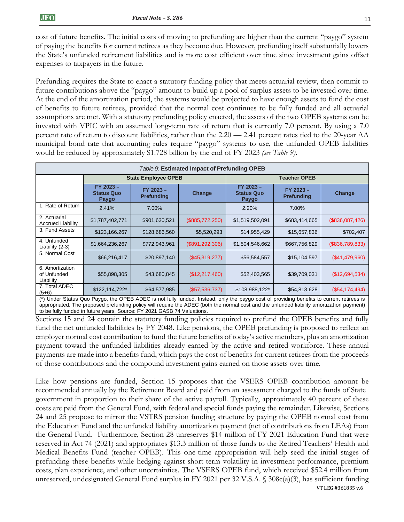cost of future benefits. The initial costs of moving to prefunding are higher than the current "paygo" system of paying the benefits for current retirees as they become due. However, prefunding itself substantially lowers the State's unfunded retirement liabilities and is more cost efficient over time since investment gains offset expenses to taxpayers in the future.

Prefunding requires the State to enact a statutory funding policy that meets actuarial review, then commit to future contributions above the "paygo" amount to build up a pool of surplus assets to be invested over time. At the end of the amortization period, the systems would be projected to have enough assets to fund the cost of benefits to future retirees, provided that the normal cost continues to be fully funded and all actuarial assumptions are met. With a statutory prefunding policy enacted, the assets of the two OPEB systems can be invested with VPIC with an assumed long-term rate of return that is currently 7.0 percent. By using a 7.0 percent rate of return to discount liabilities, rather than the 2.20 — 2.41 percent rates tied to the 20-year AA municipal bond rate that accounting rules require "paygo" systems to use, the unfunded OPEB liabilities would be reduced by approximately \$1.728 billion by the end of FY 2023 *(see Table 9).*

| Table 9: Estimated Impact of Prefunding OPEB |                                         |                                |                   |                                                                                                                                                         |                                |                 |
|----------------------------------------------|-----------------------------------------|--------------------------------|-------------------|---------------------------------------------------------------------------------------------------------------------------------------------------------|--------------------------------|-----------------|
|                                              |                                         | <b>State Employee OPEB</b>     |                   |                                                                                                                                                         | <b>Teacher OPEB</b>            |                 |
|                                              | FY 2023 -<br><b>Status Quo</b><br>Paygo | FY 2023 -<br><b>Prefunding</b> | Change            | FY 2023 -<br><b>Status Quo</b><br>Paygo                                                                                                                 | FY 2023 -<br><b>Prefunding</b> | Change          |
| 1. Rate of Return                            | 2.41%                                   | 7.00%                          |                   | 2.20%                                                                                                                                                   | 7.00%                          |                 |
| 2. Actuarial<br><b>Accrued Liability</b>     | \$1,787,402,771                         | \$901,630,521                  | (\$885,772,250)   | \$1,519,502,091                                                                                                                                         | \$683,414,665                  | (\$836,087,426) |
| 3. Fund Assets                               | \$123,166.267                           | \$128,686,560                  | \$5,520,293       | \$14,955,429                                                                                                                                            | \$15,657,836                   | \$702,407       |
| 4. Unfunded<br>Liability (2-3)               | \$1,664,236,267                         | \$772,943,961                  | (\$891, 292, 306) | \$1,504,546,662                                                                                                                                         | \$667,756,829                  | (\$836,789,833) |
| 5. Normal Cost                               | \$66,216,417                            | \$20,897,140                   | (\$45,319,277)    | \$56,584,557                                                                                                                                            | \$15,104,597                   | (\$41,479,960)  |
| 6. Amortization<br>of Unfunded<br>Liability  | \$55,898,305                            | \$43,680,845                   | (\$12,217,460)    | \$52,403,565                                                                                                                                            | \$39,709,031                   | (\$12,694,534)  |
| 7. Total ADEC<br>$(5+6)$                     | \$122,114,722*                          | \$64,577,985                   | (\$57,536,737)    | \$108,988,122*<br>(*) Under Status Quo Pavgo the OPER ADEC is not fully funded Instead only the pavgo cost of providing benefits to current retirees is | \$54,813,628                   | (\$54,174,494)  |

(\*) Under Status Quo Paygo, the OPEB ADEC is not fully funded. Instead, only the paygo cost of providing benefits to current retirees is appropriated. The proposed prefunding policy will require the ADEC (both the normal cost and the unfunded liability amortization payment) to be fully funded in future years. Source: FY 2021 GASB 74 Valuations.

Sections 15 and 24 contain the statutory funding policies required to prefund the OPEB benefits and fully fund the net unfunded liabilities by FY 2048. Like pensions, the OPEB prefunding is proposed to reflect an employer normal cost contribution to fund the future benefits of today's active members, plus an amortization payment toward the unfunded liabilities already earned by the active and retired workforce. These annual payments are made into a benefits fund, which pays the cost of benefits for current retirees from the proceeds of those contributions and the compound investment gains earned on those assets over time.

VT LEG #361835 v.6 Like how pensions are funded, Section 15 proposes that the VSERS OPEB contribution amount be recommended annually by the Retirement Board and paid from an assessment charged to the funds of State government in proportion to their share of the active payroll. Typically, approximately 40 percent of these costs are paid from the General Fund, with federal and special funds paying the remainder. Likewise, Sections 24 and 25 propose to mirror the VSTRS pension funding structure by paying the OPEB normal cost from the Education Fund and the unfunded liability amortization payment (net of contributions from LEAs) from the General Fund. Furthermore, Section 28 unreserves \$14 million of FY 2021 Education Fund that were reserved in Act 74 (2021) and appropriates \$13.3 million of those funds to the Retired Teachers' Health and Medical Benefits Fund (teacher OPEB). This one-time appropriation will help seed the initial stages of prefunding these benefits while hedging against short-term volatility in investment performance, premium costs, plan experience, and other uncertainties. The VSERS OPEB fund, which received \$52.4 million from unreserved, undesignated General Fund surplus in FY 2021 per 32 V.S.A. § 308c(a)(3), has sufficient funding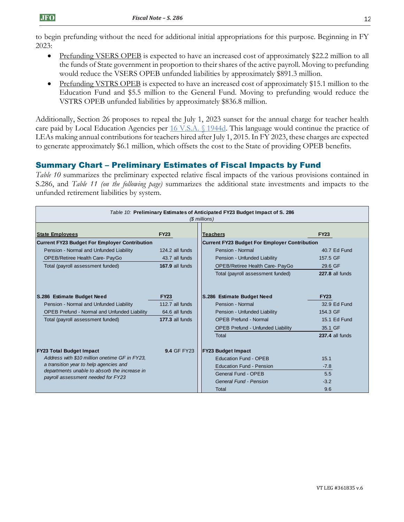to begin prefunding without the need for additional initial appropriations for this purpose. Beginning in FY 2023:

- Prefunding VSERS OPEB is expected to have an increased cost of approximately \$22.2 million to all the funds of State government in proportion to their shares of the active payroll. Moving to prefunding would reduce the VSERS OPEB unfunded liabilities by approximately \$891.3 million.
- Prefunding VSTRS OPEB is expected to have an increased cost of approximately \$15.1 million to the Education Fund and \$5.5 million to the General Fund. Moving to prefunding would reduce the VSTRS OPEB unfunded liabilities by approximately \$836.8 million.

Additionally, Section 26 proposes to repeal the July 1, 2023 sunset for the annual charge for teacher health care paid by Local Education Agencies per [16 V.S.A. §](https://legislature.vermont.gov/statutes/section/16/055/01944d) 1944d. This language would continue the practice of LEAs making annual contributions for teachers hired after July 1, 2015. In FY 2023, these charges are expected to generate approximately \$6.1 million, which offsets the cost to the State of providing OPEB benefits.

## Summary Chart – Preliminary Estimates of Fiscal Impacts by Fund

*Table 10* summarizes the preliminary expected relative fiscal impacts of the various provisions contained in S.286, and *Table 11 (on the following page)* summarizes the additional state investments and impacts to the unfunded retirement liabilities by system.

| Table 10: Preliminary Estimates of Anticipated FY23 Budget Impact of S. 286<br>(\$ millions) |                    |                                                      |                        |  |  |
|----------------------------------------------------------------------------------------------|--------------------|------------------------------------------------------|------------------------|--|--|
| <b>State Employees</b>                                                                       | <b>FY23</b>        | <b>Teachers</b>                                      | <b>FY23</b>            |  |  |
| Current FY23 Budget For Employer Contribution                                                |                    | <b>Current FY23 Budget For Employer Contribution</b> |                        |  |  |
| Pension - Normal and Unfunded Liability                                                      | 124.2 all funds    | Pension - Normal                                     | 40.7 Ed Fund           |  |  |
| OPEB/Retiree Health Care- PayGo                                                              | 43.7 all funds     | Pension - Unfunded Liability                         | 157.5 GF               |  |  |
| Total (payroll assessment funded)                                                            | 167.9 all funds    | OPEB/Retiree Health Care- PayGo                      | 29.6 GF                |  |  |
|                                                                                              |                    | Total (payroll assessment funded)                    | 227.8 all funds        |  |  |
| S.286 Estimate Budget Need                                                                   | <b>FY23</b>        | S.286 Estimate Budget Need                           | <b>FY23</b>            |  |  |
| Pension - Normal and Unfunded Liability                                                      | 112.7 all funds    | Pension - Normal                                     | 32.9 Ed Fund           |  |  |
| <b>OPEB Prefund - Normal and Unfunded Liability</b>                                          | 64.6 all funds     | Pension - Unfunded Liability                         | 154.3 GF               |  |  |
| Total (payroll assessment funded)                                                            | 177.3 all funds    | <b>OPEB Prefund - Normal</b>                         | 15.1 Ed Fund           |  |  |
|                                                                                              |                    | <b>OPEB Prefund - Unfunded Liability</b>             | 35.1 GF                |  |  |
|                                                                                              |                    | Total                                                | <b>237.4 all funds</b> |  |  |
| <b>FY23 Total Budget Impact</b>                                                              | <b>9.4 GF FY23</b> | <b>FY23 Budget Impact</b>                            |                        |  |  |
| Address with \$10 million onetime GF in FY23.                                                |                    | <b>Education Fund - OPEB</b>                         | 15.1                   |  |  |
| a transition year to help agencies and                                                       |                    | <b>Education Fund - Pension</b>                      | $-7.8$                 |  |  |
| departments unable to absorb the increase in<br>payroll assessment needed for FY23           |                    | General Fund - OPEB                                  | 5.5                    |  |  |
|                                                                                              |                    | General Fund - Pension                               | $-3.2$                 |  |  |
|                                                                                              |                    | Total                                                | 9.6                    |  |  |